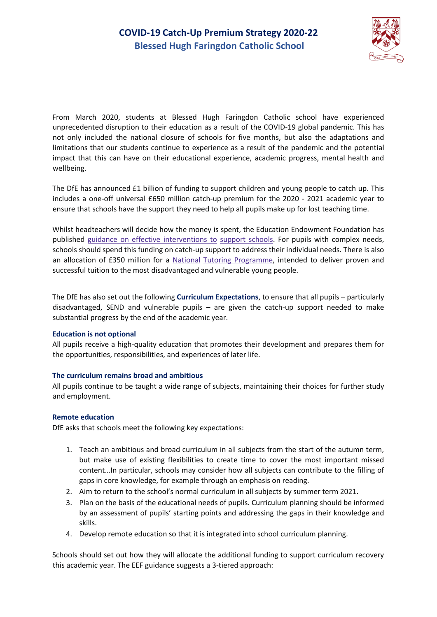

From March 2020, students at Blessed Hugh Faringdon Catholic school have experienced unprecedented disruption to their education as a result of the COVID-19 global pandemic. This has not only included the national closure of schools for five months, but also the adaptations and limitations that our students continue to experience as a result of the pandemic and the potential impact that this can have on their educational experience, academic progress, mental health and wellbeing.

The DfE has announced £1 billion of funding to support children and young people to catch up. This includes a one-off universal £650 million catch-up premium for the 2020 - 2021 academic year to ensure that schools have the support they need to help all pupils make up for lost teaching time.

Whilst headteachers will decide how the money is spent, the Education Endowment Foundation has publishe[d](https://educationendowmentfoundation.org.uk/covid-19-resources/covid-19-support-guide-for-schools/) [guidance](https://educationendowmentfoundation.org.uk/covid-19-resources/covid-19-support-guide-for-schools/) [on](https://educationendowmentfoundation.org.uk/covid-19-resources/covid-19-support-guide-for-schools/) [effective](https://educationendowmentfoundation.org.uk/covid-19-resources/covid-19-support-guide-for-schools/) [interventions](https://educationendowmentfoundation.org.uk/covid-19-resources/covid-19-support-guide-for-schools/) [to](https://educationendowmentfoundation.org.uk/covid-19-resources/covid-19-support-guide-for-schools/) [support](https://educationendowmentfoundation.org.uk/covid-19-resources/covid-19-support-guide-for-schools/) [schools.](https://educationendowmentfoundation.org.uk/covid-19-resources/covid-19-support-guide-for-schools/) For pupils with complex needs, schools should spend this funding on catch-up support to address their individual needs. There is also an allocation of £350 million for [a](https://educationendowmentfoundation.org.uk/covid-19-resources/national-tutoring-programme/) [National](https://educationendowmentfoundation.org.uk/covid-19-resources/national-tutoring-programme/) [Tutoring](https://educationendowmentfoundation.org.uk/covid-19-resources/national-tutoring-programme/) [Programme,](https://educationendowmentfoundation.org.uk/covid-19-resources/national-tutoring-programme/) intended to deliver proven and successful tuition to the most disadvantaged and vulnerable young people.

The DfE has also set out the following **Curriculum Expectations**, to ensure that all pupils – particularly disadvantaged, SEND and vulnerable pupils – are given the catch-up support needed to make substantial progress by the end of the academic year.

#### **Education is not optional**

All pupils receive a high-quality education that promotes their development and prepares them for the opportunities, responsibilities, and experiences of later life.

### **The curriculum remains broad and ambitious**

All pupils continue to be taught a wide range of subjects, maintaining their choices for further study and employment.

### **Remote education**

DfE asks that schools meet the following key expectations:

- 1. Teach an ambitious and broad curriculum in all subjects from the start of the autumn term, but make use of existing flexibilities to create time to cover the most important missed content…In particular, schools may consider how all subjects can contribute to the filling of gaps in core knowledge, for example through an emphasis on reading.
- 2. Aim to return to the school's normal curriculum in all subjects by summer term 2021.
- 3. Plan on the basis of the educational needs of pupils. Curriculum planning should be informed by an assessment of pupils' starting points and addressing the gaps in their knowledge and skills.
- 4. Develop remote education so that it is integrated into school curriculum planning.

Schools should set out how they will allocate the additional funding to support curriculum recovery this academic year. The EEF guidance suggests a 3-tiered approach: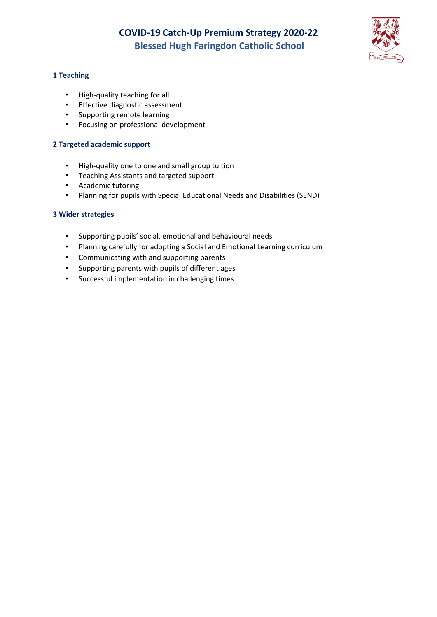

### **1 Teaching**

- High-quality teaching for all
- Effective diagnostic assessment
- Supporting remote learning
- Focusing on professional development

### **2 Targeted academic support**

- High-quality one to one and small group tuition
- Teaching Assistants and targeted support
- Academic tutoring
- Planning for pupils with Special Educational Needs and Disabilities (SEND)

### **3 Wider strategies**

- Supporting pupils' social, emotional and behavioural needs
- Planning carefully for adopting a Social and Emotional Learning curriculum
- Communicating with and supporting parents
- Supporting parents with pupils of different ages
- Successful implementation in challenging times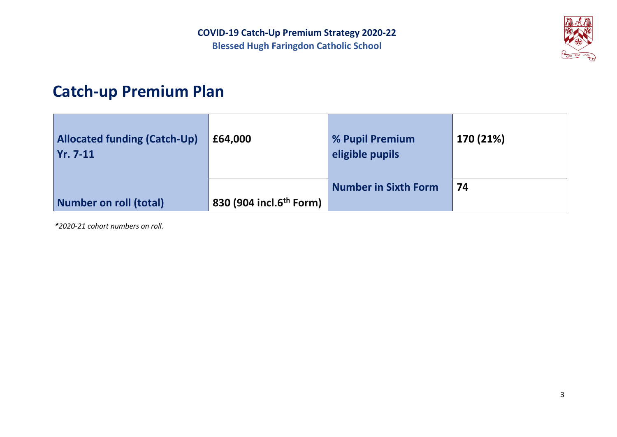

# **Catch-up Premium Plan**

| <b>Allocated funding (Catch-Up)</b><br>$Yr. 7-11$ | £64,000                             | % Pupil Premium<br>eligible pupils | 170 (21%) |
|---------------------------------------------------|-------------------------------------|------------------------------------|-----------|
|                                                   |                                     | <b>Number in Sixth Form</b>        | 74        |
| <b>Number on roll (total)</b>                     | 830 (904 incl.6 <sup>th</sup> Form) |                                    |           |

*\*2020-21 cohort numbers on roll.*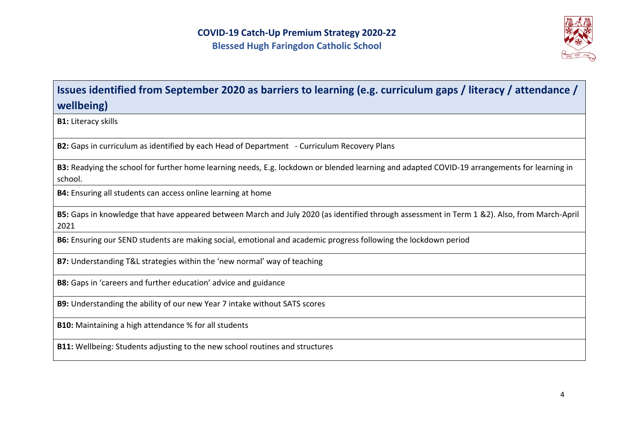

# **Issues identified from September 2020 as barriers to learning (e.g. curriculum gaps / literacy / attendance / wellbeing)**

**B1:** Literacy skills

**B2:** Gaps in curriculum as identified by each Head of Department - Curriculum Recovery Plans

**B3:** Readying the school for further home learning needs, E.g. lockdown or blended learning and adapted COVID-19 arrangements for learning in school.

**B4:** Ensuring all students can access online learning at home

**B5:** Gaps in knowledge that have appeared between March and July 2020 (as identified through assessment in Term 1 &2). Also, from March-April 2021

**B6:** Ensuring our SEND students are making social, emotional and academic progress following the lockdown period

**B7:** Understanding T&L strategies within the 'new normal' way of teaching

**B8:** Gaps in 'careers and further education' advice and guidance

**B9:** Understanding the ability of our new Year 7 intake without SATS scores

**B10:** Maintaining a high attendance % for all students

**B11:** Wellbeing: Students adjusting to the new school routines and structures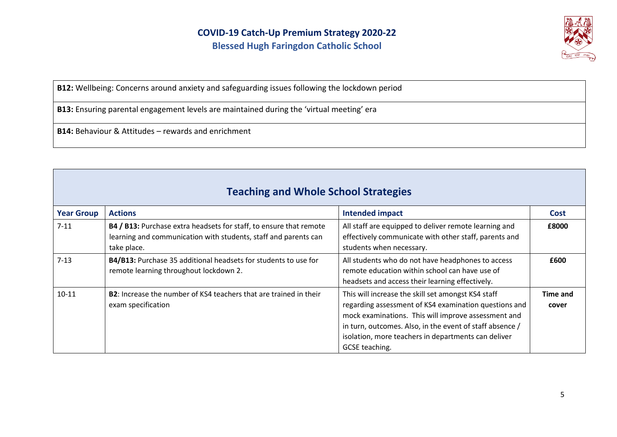

**B12:** Wellbeing: Concerns around anxiety and safeguarding issues following the lockdown period

**B13:** Ensuring parental engagement levels are maintained during the 'virtual meeting' era

**B14:** Behaviour & Attitudes – rewards and enrichment

| <b>Teaching and Whole School Strategies</b> |                                                                                                                                                      |                                                                                                                                                                                                                                                                                                         |                          |
|---------------------------------------------|------------------------------------------------------------------------------------------------------------------------------------------------------|---------------------------------------------------------------------------------------------------------------------------------------------------------------------------------------------------------------------------------------------------------------------------------------------------------|--------------------------|
| <b>Year Group</b>                           | <b>Actions</b>                                                                                                                                       | Intended impact                                                                                                                                                                                                                                                                                         | Cost                     |
| $7 - 11$                                    | B4 / B13: Purchase extra headsets for staff, to ensure that remote<br>learning and communication with students, staff and parents can<br>take place. | All staff are equipped to deliver remote learning and<br>effectively communicate with other staff, parents and<br>students when necessary.                                                                                                                                                              | £8000                    |
| $7 - 13$                                    | B4/B13: Purchase 35 additional headsets for students to use for<br>remote learning throughout lockdown 2.                                            | All students who do not have headphones to access<br>remote education within school can have use of<br>headsets and access their learning effectively.                                                                                                                                                  | £600                     |
| $10 - 11$                                   | B2: Increase the number of KS4 teachers that are trained in their<br>exam specification                                                              | This will increase the skill set amongst KS4 staff<br>regarding assessment of KS4 examination questions and<br>mock examinations. This will improve assessment and<br>in turn, outcomes. Also, in the event of staff absence /<br>isolation, more teachers in departments can deliver<br>GCSE teaching. | <b>Time and</b><br>cover |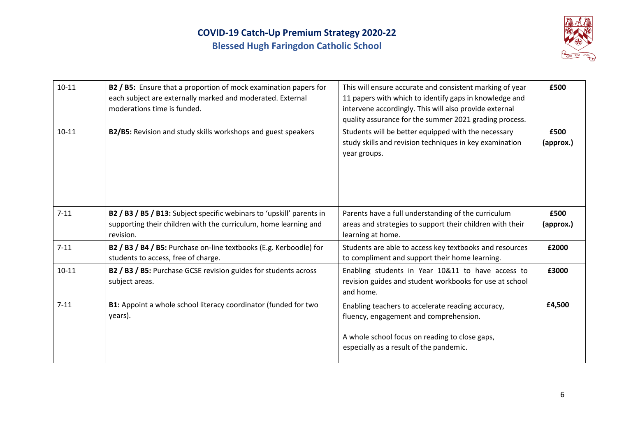

| $10 - 11$ | B2 / B5: Ensure that a proportion of mock examination papers for<br>each subject are externally marked and moderated. External<br>moderations time is funded. | This will ensure accurate and consistent marking of year<br>11 papers with which to identify gaps in knowledge and<br>intervene accordingly. This will also provide external<br>quality assurance for the summer 2021 grading process. | £500              |
|-----------|---------------------------------------------------------------------------------------------------------------------------------------------------------------|----------------------------------------------------------------------------------------------------------------------------------------------------------------------------------------------------------------------------------------|-------------------|
| $10 - 11$ | B2/B5: Revision and study skills workshops and guest speakers                                                                                                 | Students will be better equipped with the necessary<br>study skills and revision techniques in key examination<br>year groups.                                                                                                         | £500<br>(approx.) |
| $7 - 11$  | B2 / B3 / B5 / B13: Subject specific webinars to 'upskill' parents in<br>supporting their children with the curriculum, home learning and<br>revision.        | Parents have a full understanding of the curriculum<br>areas and strategies to support their children with their<br>learning at home.                                                                                                  | £500<br>(approx.) |
| $7 - 11$  | B2 / B3 / B4 / B5: Purchase on-line textbooks (E.g. Kerboodle) for<br>students to access, free of charge.                                                     | Students are able to access key textbooks and resources<br>to compliment and support their home learning.                                                                                                                              | £2000             |
| $10 - 11$ | B2 / B3 / B5: Purchase GCSE revision guides for students across<br>subject areas.                                                                             | Enabling students in Year 10&11 to have access to<br>revision guides and student workbooks for use at school<br>and home.                                                                                                              | £3000             |
| $7 - 11$  | B1: Appoint a whole school literacy coordinator (funded for two<br>years).                                                                                    | Enabling teachers to accelerate reading accuracy,<br>fluency, engagement and comprehension.                                                                                                                                            | £4,500            |
|           |                                                                                                                                                               | A whole school focus on reading to close gaps,<br>especially as a result of the pandemic.                                                                                                                                              |                   |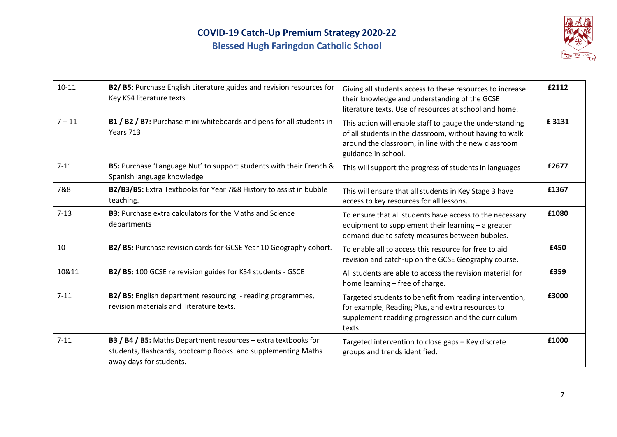

| $10 - 11$ | B2/ B5: Purchase English Literature guides and revision resources for<br>Key KS4 literature texts.                                                        | Giving all students access to these resources to increase<br>their knowledge and understanding of the GCSE<br>literature texts. Use of resources at school and home.                                | £2112 |
|-----------|-----------------------------------------------------------------------------------------------------------------------------------------------------------|-----------------------------------------------------------------------------------------------------------------------------------------------------------------------------------------------------|-------|
| $7 - 11$  | B1 / B2 / B7: Purchase mini whiteboards and pens for all students in<br>Years 713                                                                         | This action will enable staff to gauge the understanding<br>of all students in the classroom, without having to walk<br>around the classroom, in line with the new classroom<br>guidance in school. | £3131 |
| $7 - 11$  | B5: Purchase 'Language Nut' to support students with their French &<br>Spanish language knowledge                                                         | This will support the progress of students in languages                                                                                                                                             | £2677 |
| 7&8       | B2/B3/B5: Extra Textbooks for Year 7&8 History to assist in bubble<br>teaching.                                                                           | This will ensure that all students in Key Stage 3 have<br>access to key resources for all lessons.                                                                                                  | £1367 |
| $7-13$    | <b>B3:</b> Purchase extra calculators for the Maths and Science<br>departments                                                                            | To ensure that all students have access to the necessary<br>equipment to supplement their learning - a greater<br>demand due to safety measures between bubbles.                                    | £1080 |
| 10        | B2/ B5: Purchase revision cards for GCSE Year 10 Geography cohort.                                                                                        | To enable all to access this resource for free to aid<br>revision and catch-up on the GCSE Geography course.                                                                                        | £450  |
| 10&11     | B2/ B5: 100 GCSE re revision guides for KS4 students - GSCE                                                                                               | All students are able to access the revision material for<br>home learning - free of charge.                                                                                                        | £359  |
| $7 - 11$  | B2/ B5: English department resourcing - reading programmes,<br>revision materials and literature texts.                                                   | Targeted students to benefit from reading intervention,<br>for example, Reading Plus, and extra resources to<br>supplement readding progression and the curriculum<br>texts.                        | £3000 |
| $7 - 11$  | B3 / B4 / B5: Maths Department resources - extra textbooks for<br>students, flashcards, bootcamp Books and supplementing Maths<br>away days for students. | Targeted intervention to close gaps - Key discrete<br>groups and trends identified.                                                                                                                 | £1000 |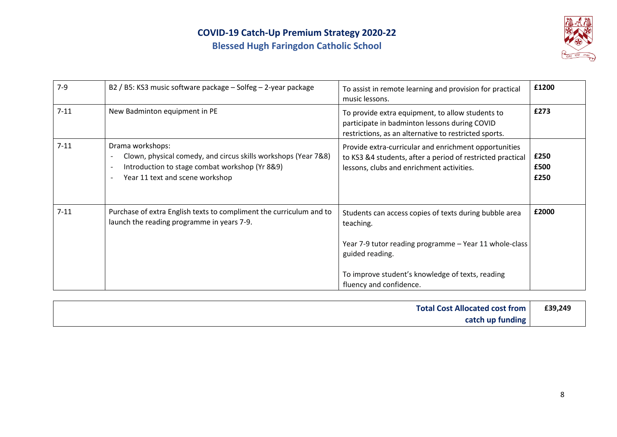

| $7-9$    | B2 / B5: KS3 music software package - Solfeg - 2-year package                                                                                                                                                                                               | To assist in remote learning and provision for practical<br>music lessons.                                                                                                                                                      | £1200                |
|----------|-------------------------------------------------------------------------------------------------------------------------------------------------------------------------------------------------------------------------------------------------------------|---------------------------------------------------------------------------------------------------------------------------------------------------------------------------------------------------------------------------------|----------------------|
| $7 - 11$ | New Badminton equipment in PE                                                                                                                                                                                                                               | To provide extra equipment, to allow students to<br>participate in badminton lessons during COVID<br>restrictions, as an alternative to restricted sports.                                                                      | £273                 |
| $7 - 11$ | Drama workshops:<br>Clown, physical comedy, and circus skills workshops (Year 7&8)<br>$\overline{\phantom{a}}$<br>Introduction to stage combat workshop (Yr 8&9)<br>$\overline{\phantom{a}}$<br>Year 11 text and scene workshop<br>$\overline{\phantom{a}}$ | Provide extra-curricular and enrichment opportunities<br>to KS3 &4 students, after a period of restricted practical<br>lessons, clubs and enrichment activities.                                                                | £250<br>£500<br>£250 |
| $7 - 11$ | Purchase of extra English texts to compliment the curriculum and to<br>launch the reading programme in years 7-9.                                                                                                                                           | Students can access copies of texts during bubble area<br>teaching.<br>Year 7-9 tutor reading programme - Year 11 whole-class<br>guided reading.<br>To improve student's knowledge of texts, reading<br>fluency and confidence. | £2000                |

| <b>Total Cost Allocated cost from</b> | £39,249 |
|---------------------------------------|---------|
| catch up funding                      |         |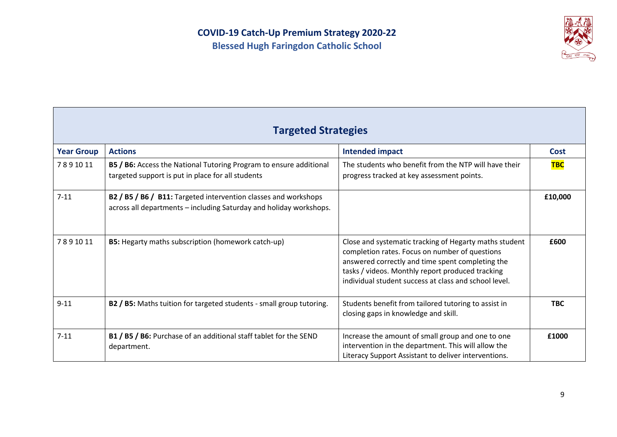

| <b>Targeted Strategies</b> |                                                                                                                                       |                                                                                                                                                                                                                                                                           |             |
|----------------------------|---------------------------------------------------------------------------------------------------------------------------------------|---------------------------------------------------------------------------------------------------------------------------------------------------------------------------------------------------------------------------------------------------------------------------|-------------|
| <b>Year Group</b>          | <b>Actions</b>                                                                                                                        | <b>Intended impact</b>                                                                                                                                                                                                                                                    | <b>Cost</b> |
| 7891011                    | B5 / B6: Access the National Tutoring Program to ensure additional<br>targeted support is put in place for all students               | The students who benefit from the NTP will have their<br>progress tracked at key assessment points.                                                                                                                                                                       | <b>TBC</b>  |
| $7 - 11$                   | B2 / B5 / B6 / B11: Targeted intervention classes and workshops<br>across all departments - including Saturday and holiday workshops. |                                                                                                                                                                                                                                                                           | £10,000     |
| 7891011                    | <b>B5:</b> Hegarty maths subscription (homework catch-up)                                                                             | Close and systematic tracking of Hegarty maths student<br>completion rates. Focus on number of questions<br>answered correctly and time spent completing the<br>tasks / videos. Monthly report produced tracking<br>individual student success at class and school level. | £600        |
| $9 - 11$                   | B2 / B5: Maths tuition for targeted students - small group tutoring.                                                                  | Students benefit from tailored tutoring to assist in<br>closing gaps in knowledge and skill.                                                                                                                                                                              | <b>TBC</b>  |
| $7 - 11$                   | B1 / B5 / B6: Purchase of an additional staff tablet for the SEND<br>department.                                                      | Increase the amount of small group and one to one<br>intervention in the department. This will allow the<br>Literacy Support Assistant to deliver interventions.                                                                                                          | £1000       |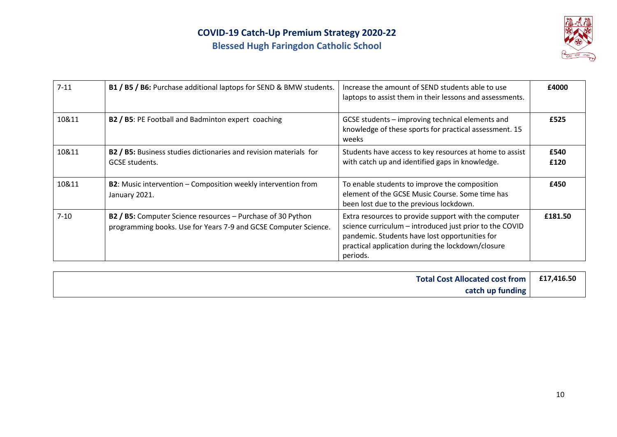

| $7 - 11$ | B1 / B5 / B6: Purchase additional laptops for SEND & BMW students.                                                             | Increase the amount of SEND students able to use<br>laptops to assist them in their lessons and assessments.                                                                                                                       | £4000        |
|----------|--------------------------------------------------------------------------------------------------------------------------------|------------------------------------------------------------------------------------------------------------------------------------------------------------------------------------------------------------------------------------|--------------|
| 10&11    | B2 / B5: PE Football and Badminton expert coaching                                                                             | GCSE students - improving technical elements and<br>knowledge of these sports for practical assessment. 15<br>weeks                                                                                                                | £525         |
| 10&11    | B2 / B5: Business studies dictionaries and revision materials for<br><b>GCSE</b> students.                                     | Students have access to key resources at home to assist<br>with catch up and identified gaps in knowledge.                                                                                                                         | £540<br>£120 |
| 10&11    | B2: Music intervention - Composition weekly intervention from<br>January 2021.                                                 | To enable students to improve the composition<br>element of the GCSE Music Course. Some time has<br>been lost due to the previous lockdown.                                                                                        | £450         |
| $7 - 10$ | B2 / B5: Computer Science resources - Purchase of 30 Python<br>programming books. Use for Years 7-9 and GCSE Computer Science. | Extra resources to provide support with the computer<br>science curriculum - introduced just prior to the COVID<br>pandemic. Students have lost opportunities for<br>practical application during the lockdown/closure<br>periods. | £181.50      |

| <b>Total Cost Allocated cost from</b> | £17,416.50 |
|---------------------------------------|------------|
| catch up funding                      |            |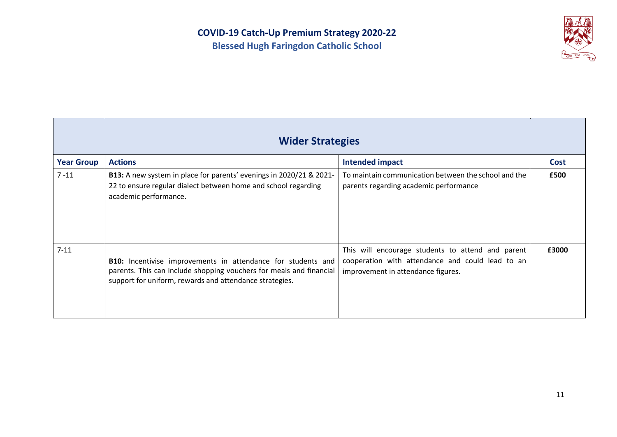

|                   | <b>Wider Strategies</b>                                                                                                                                                                        |                                                                                                                                             |       |
|-------------------|------------------------------------------------------------------------------------------------------------------------------------------------------------------------------------------------|---------------------------------------------------------------------------------------------------------------------------------------------|-------|
| <b>Year Group</b> | <b>Actions</b>                                                                                                                                                                                 | <b>Intended impact</b>                                                                                                                      | Cost  |
| 7 - 11            | B13: A new system in place for parents' evenings in 2020/21 & 2021-<br>22 to ensure regular dialect between home and school regarding<br>academic performance.                                 | To maintain communication between the school and the<br>parents regarding academic performance                                              | £500  |
| $7 - 11$          | B10: Incentivise improvements in attendance for students and<br>parents. This can include shopping vouchers for meals and financial<br>support for uniform, rewards and attendance strategies. | This will encourage students to attend and parent<br>cooperation with attendance and could lead to an<br>improvement in attendance figures. | £3000 |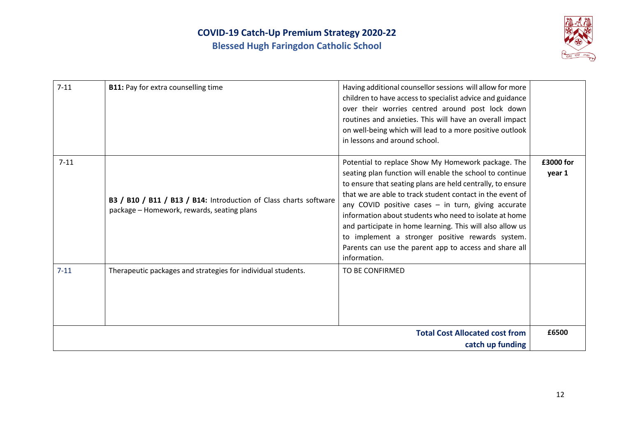

| $7 - 11$ | <b>B11:</b> Pay for extra counselling time                                                                      | Having additional counsellor sessions will allow for more<br>children to have access to specialist advice and guidance<br>over their worries centred around post lock down<br>routines and anxieties. This will have an overall impact<br>on well-being which will lead to a more positive outlook<br>in lessons and around school.                                                                                                                                                                                                                   |                     |
|----------|-----------------------------------------------------------------------------------------------------------------|-------------------------------------------------------------------------------------------------------------------------------------------------------------------------------------------------------------------------------------------------------------------------------------------------------------------------------------------------------------------------------------------------------------------------------------------------------------------------------------------------------------------------------------------------------|---------------------|
| $7 - 11$ | B3 / B10 / B11 / B13 / B14: Introduction of Class charts software<br>package - Homework, rewards, seating plans | Potential to replace Show My Homework package. The<br>seating plan function will enable the school to continue<br>to ensure that seating plans are held centrally, to ensure<br>that we are able to track student contact in the event of<br>any COVID positive cases - in turn, giving accurate<br>information about students who need to isolate at home<br>and participate in home learning. This will also allow us<br>to implement a stronger positive rewards system.<br>Parents can use the parent app to access and share all<br>information. | £3000 for<br>year 1 |
| $7 - 11$ | Therapeutic packages and strategies for individual students.                                                    | TO BE CONFIRMED                                                                                                                                                                                                                                                                                                                                                                                                                                                                                                                                       |                     |
|          |                                                                                                                 | <b>Total Cost Allocated cost from</b><br>catch up funding                                                                                                                                                                                                                                                                                                                                                                                                                                                                                             | £6500               |